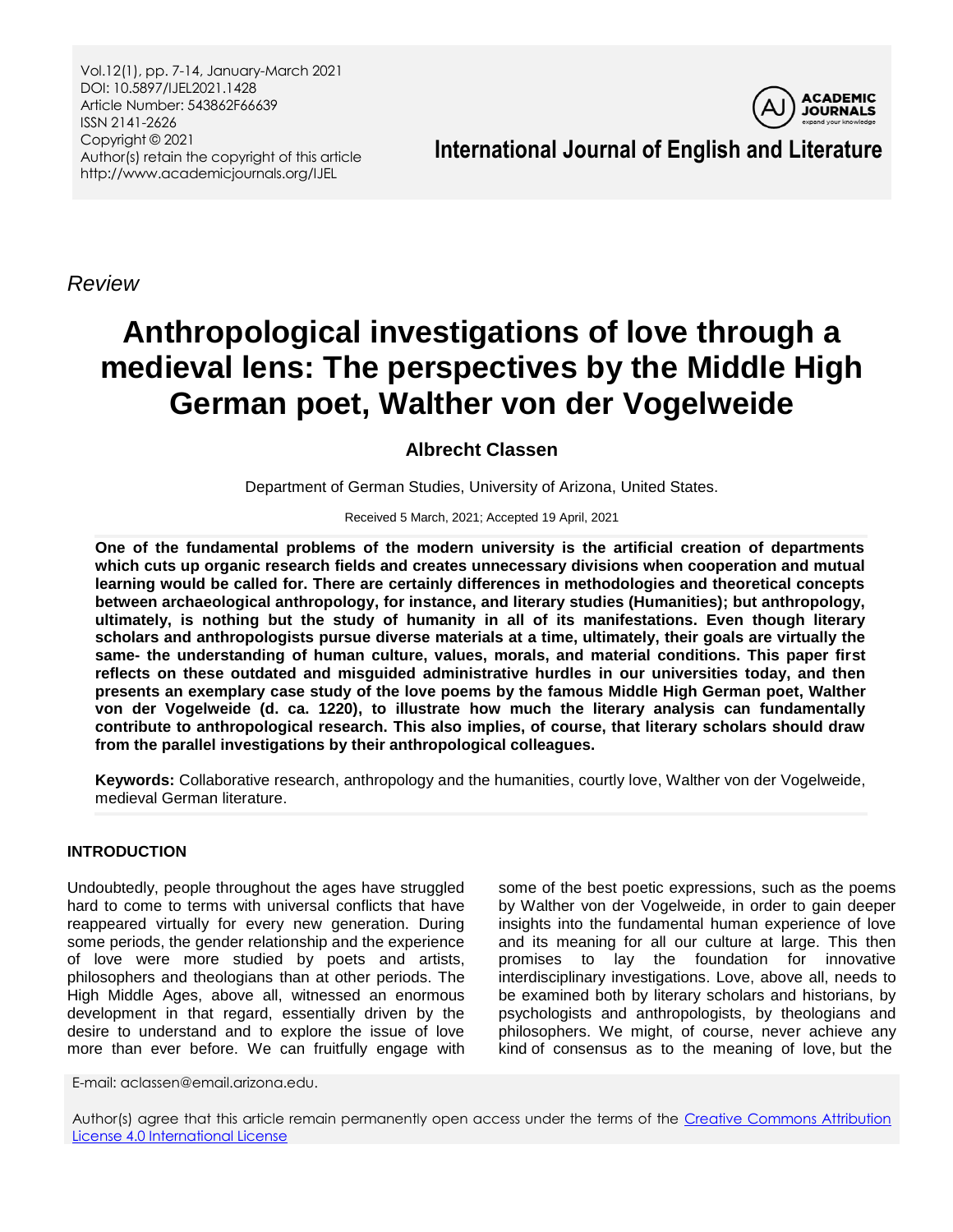Vol.12(1), pp. 7-14, January-March 2021 DOI: 10.5897/IJEL2021.1428 Article Number: 543862F66639 ISSN 2141-2626 Copyright © 2021 Author(s) retain the copyright of this article http://www.academicjournals.org/IJEL



**International Journal of English and Literature**

*Review*

# **Anthropological investigations of love through a medieval lens: The perspectives by the Middle High German poet, Walther von der Vogelweide**

## **Albrecht Classen**

Department of German Studies, University of Arizona, United States.

Received 5 March, 2021; Accepted 19 April, 2021

**One of the fundamental problems of the modern university is the artificial creation of departments which cuts up organic research fields and creates unnecessary divisions when cooperation and mutual learning would be called for. There are certainly differences in methodologies and theoretical concepts between archaeological anthropology, for instance, and literary studies (Humanities); but anthropology, ultimately, is nothing but the study of humanity in all of its manifestations. Even though literary scholars and anthropologists pursue diverse materials at a time, ultimately, their goals are virtually the same- the understanding of human culture, values, morals, and material conditions. This paper first reflects on these outdated and misguided administrative hurdles in our universities today, and then presents an exemplary case study of the love poems by the famous Middle High German poet, Walther von der Vogelweide (d. ca. 1220), to illustrate how much the literary analysis can fundamentally contribute to anthropological research. This also implies, of course, that literary scholars should draw from the parallel investigations by their anthropological colleagues.** 

**Keywords:** Collaborative research, anthropology and the humanities, courtly love, Walther von der Vogelweide, medieval German literature.

## **INTRODUCTION**

Undoubtedly, people throughout the ages have struggled hard to come to terms with universal conflicts that have reappeared virtually for every new generation. During some periods, the gender relationship and the experience of love were more studied by poets and artists, philosophers and theologians than at other periods. The High Middle Ages, above all, witnessed an enormous development in that regard, essentially driven by the desire to understand and to explore the issue of love more than ever before. We can fruitfully engage with

some of the best poetic expressions, such as the poems by Walther von der Vogelweide, in order to gain deeper insights into the fundamental human experience of love and its meaning for all our culture at large. This then promises to lay the foundation for innovative interdisciplinary investigations. Love, above all, needs to be examined both by literary scholars and historians, by psychologists and anthropologists, by theologians and philosophers. We might, of course, never achieve any kind of consensus as to the meaning of love, but the

E-mail: aclassen@email.arizona.edu.

Author(s) agree that this article remain permanently open access under the terms of the Creative Commons Attribution [License 4.0 International License](http://creativecommons.org/licenses/by/4.0/deed.en_US)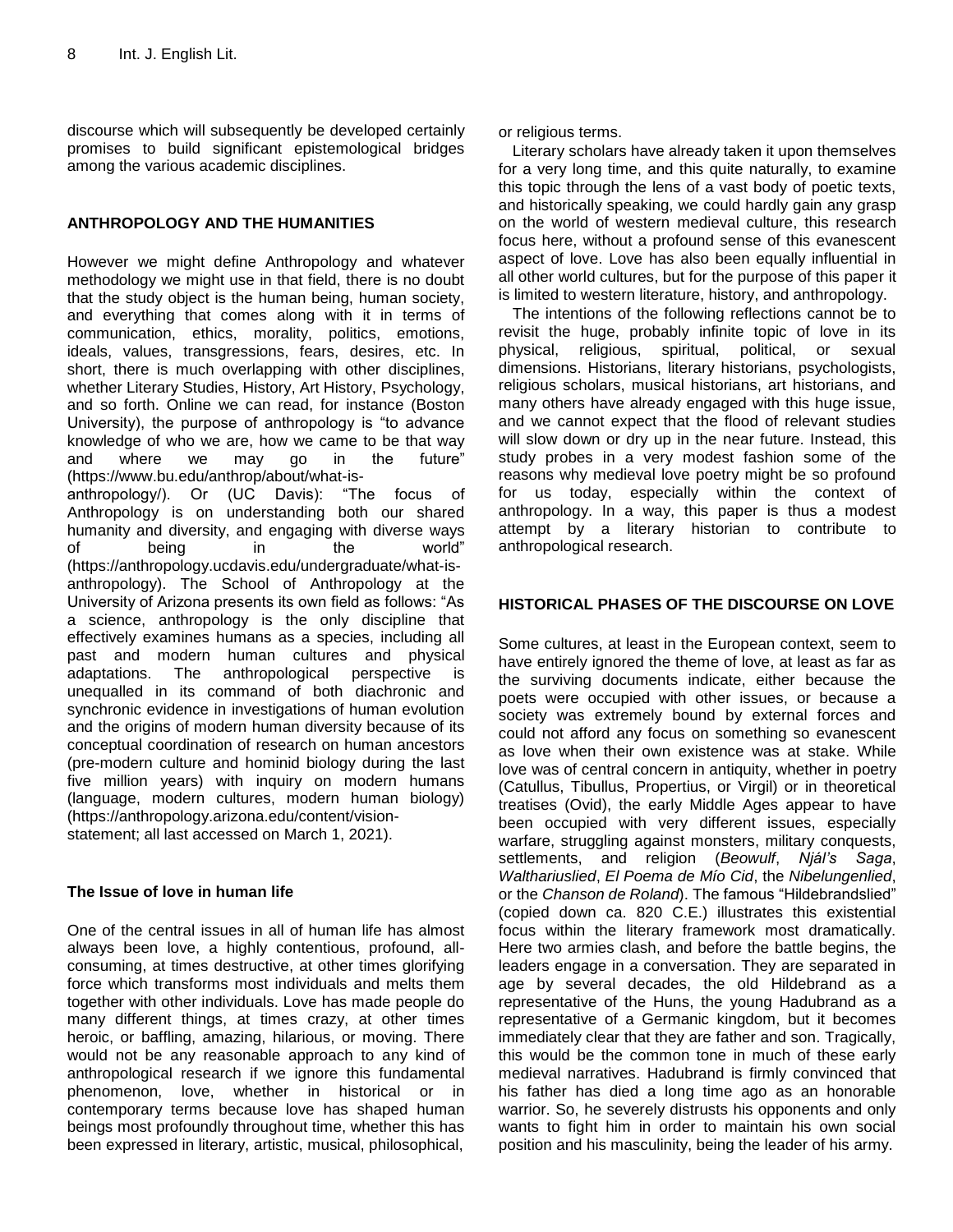discourse which will subsequently be developed certainly promises to build significant epistemological bridges among the various academic disciplines.

## **ANTHROPOLOGY AND THE HUMANITIES**

However we might define Anthropology and whatever methodology we might use in that field, there is no doubt that the study object is the human being, human society, and everything that comes along with it in terms of communication, ethics, morality, politics, emotions, ideals, values, transgressions, fears, desires, etc. In short, there is much overlapping with other disciplines, whether Literary Studies, History, Art History, Psychology, and so forth. Online we can read, for instance (Boston University), the purpose of anthropology is "to advance knowledge of who we are, how we came to be that way and where we may go in the future" (https://www.bu.edu/anthrop/about/what-isanthropology/). Or (UC Davis): "The focus of Anthropology is on understanding both our shared humanity and diversity, and engaging with diverse ways of being in the world" (https://anthropology.ucdavis.edu/undergraduate/what-is-

anthropology). The School of Anthropology at the University of Arizona presents its own field as follows: "As a science, anthropology is the only discipline that effectively examines humans as a species, including all past and modern human cultures and physical adaptations. The anthropological perspective is unequalled in its command of both diachronic and synchronic evidence in investigations of human evolution and the origins of modern human diversity because of its conceptual coordination of research on human ancestors (pre-modern culture and hominid biology during the last five million years) with inquiry on modern humans (language, modern cultures, modern human biology) (https://anthropology.arizona.edu/content/visionstatement; all last accessed on March 1, 2021).

## **The Issue of love in human life**

One of the central issues in all of human life has almost always been love, a highly contentious, profound, allconsuming, at times destructive, at other times glorifying force which transforms most individuals and melts them together with other individuals. Love has made people do many different things, at times crazy, at other times heroic, or baffling, amazing, hilarious, or moving. There would not be any reasonable approach to any kind of anthropological research if we ignore this fundamental phenomenon, love, whether in historical or in contemporary terms because love has shaped human beings most profoundly throughout time, whether this has been expressed in literary, artistic, musical, philosophical,

or religious terms.

Literary scholars have already taken it upon themselves for a very long time, and this quite naturally, to examine this topic through the lens of a vast body of poetic texts, and historically speaking, we could hardly gain any grasp on the world of western medieval culture, this research focus here, without a profound sense of this evanescent aspect of love. Love has also been equally influential in all other world cultures, but for the purpose of this paper it is limited to western literature, history, and anthropology.

The intentions of the following reflections cannot be to revisit the huge, probably infinite topic of love in its physical, religious, spiritual, political, or sexual dimensions. Historians, literary historians, psychologists, religious scholars, musical historians, art historians, and many others have already engaged with this huge issue, and we cannot expect that the flood of relevant studies will slow down or dry up in the near future. Instead, this study probes in a very modest fashion some of the reasons why medieval love poetry might be so profound for us today, especially within the context of anthropology. In a way, this paper is thus a modest attempt by a literary historian to contribute to anthropological research.

## **HISTORICAL PHASES OF THE DISCOURSE ON LOVE**

Some cultures, at least in the European context, seem to have entirely ignored the theme of love, at least as far as the surviving documents indicate, either because the poets were occupied with other issues, or because a society was extremely bound by external forces and could not afford any focus on something so evanescent as love when their own existence was at stake. While love was of central concern in antiquity, whether in poetry (Catullus, Tibullus, Propertius, or Virgil) or in theoretical treatises (Ovid), the early Middle Ages appear to have been occupied with very different issues, especially warfare, struggling against monsters, military conquests, settlements, and religion (*Beowulf*, *Njál's Saga*, *Walthariuslied*, *El Poema de Mío Cid*, the *Nibelungenlied*, or the *Chanson de Roland*). The famous "Hildebrandslied" (copied down ca. 820 C.E.) illustrates this existential focus within the literary framework most dramatically. Here two armies clash, and before the battle begins, the leaders engage in a conversation. They are separated in age by several decades, the old Hildebrand as a representative of the Huns, the young Hadubrand as a representative of a Germanic kingdom, but it becomes immediately clear that they are father and son. Tragically, this would be the common tone in much of these early medieval narratives. Hadubrand is firmly convinced that his father has died a long time ago as an honorable warrior. So, he severely distrusts his opponents and only wants to fight him in order to maintain his own social position and his masculinity, being the leader of his army.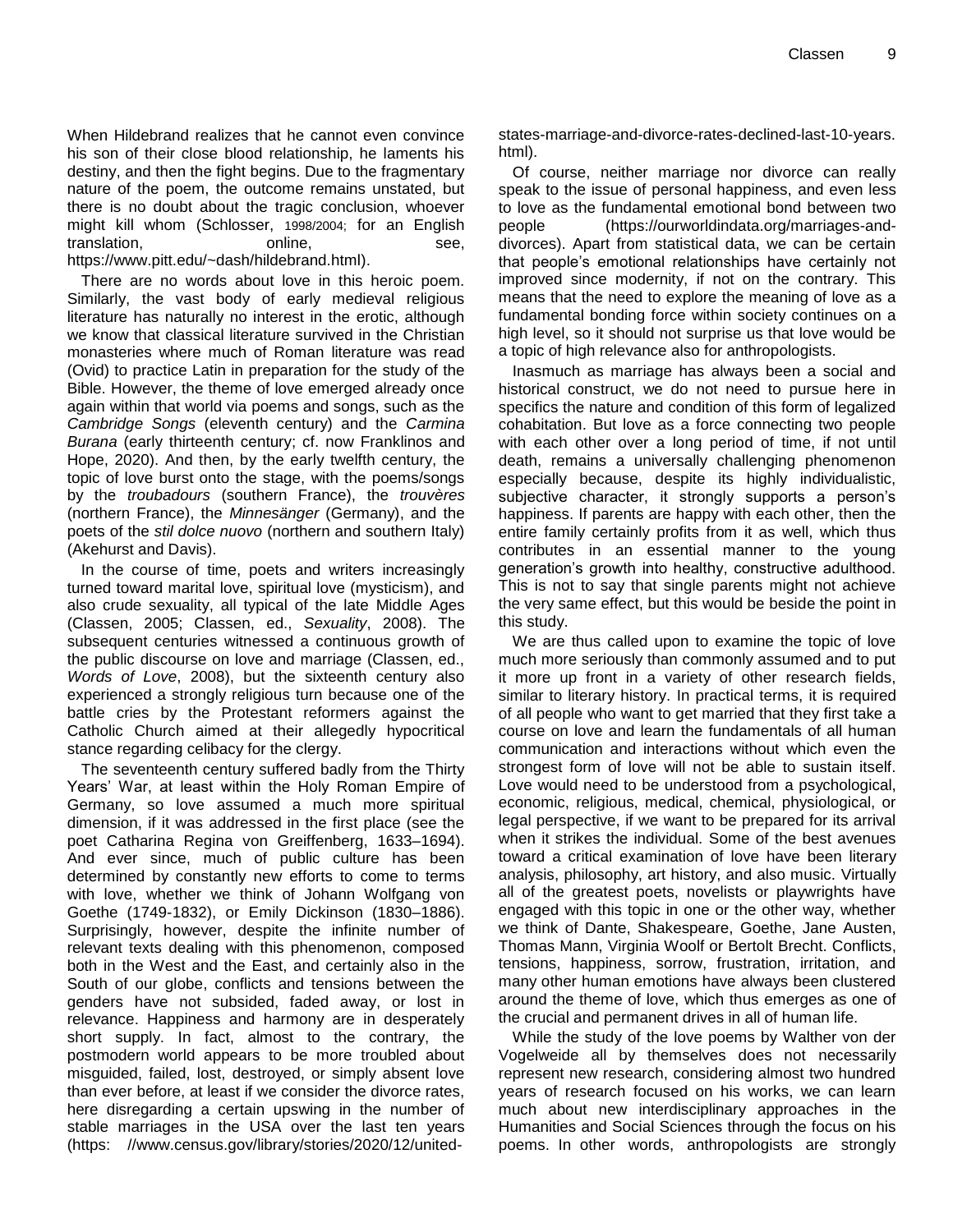When Hildebrand realizes that he cannot even convince his son of their close blood relationship, he laments his destiny, and then the fight begins. Due to the fragmentary nature of the poem, the outcome remains unstated, but there is no doubt about the tragic conclusion, whoever might kill whom (Schlosser, 1998/2004; for an English translation, by the online, translation, the see, that is not see, the see, that is no see, the see, that is no see, the see of the see, that is no see, the see of the see of the see of the see of the see of the see of the [https://www.pitt.edu/~dash/hildebrand.html\)](https://www.pitt.edu/~dash/hildebrand.html).

There are no words about love in this heroic poem. Similarly, the vast body of early medieval religious literature has naturally no interest in the erotic, although we know that classical literature survived in the Christian monasteries where much of Roman literature was read (Ovid) to practice Latin in preparation for the study of the Bible. However, the theme of love emerged already once again within that world via poems and songs, such as the *Cambridge Songs* (eleventh century) and the *Carmina Burana* (early thirteenth century; cf. now Franklinos and Hope, 2020). And then, by the early twelfth century, the topic of love burst onto the stage, with the poems/songs by the *troubadours* (southern France), the *trouvères* (northern France), the *Minnesänger* (Germany), and the poets of the *stil dolce nuovo* (northern and southern Italy) (Akehurst and Davis).

In the course of time, poets and writers increasingly turned toward marital love, spiritual love (mysticism), and also crude sexuality, all typical of the late Middle Ages (Classen, 2005; Classen, ed., *Sexuality*, 2008). The subsequent centuries witnessed a continuous growth of the public discourse on love and marriage (Classen, ed., *Words of Love*, 2008), but the sixteenth century also experienced a strongly religious turn because one of the battle cries by the Protestant reformers against the Catholic Church aimed at their allegedly hypocritical stance regarding celibacy for the clergy.

The seventeenth century suffered badly from the Thirty Years" War, at least within the Holy Roman Empire of Germany, so love assumed a much more spiritual dimension, if it was addressed in the first place (see the poet Catharina Regina von Greiffenberg, 1633–1694). And ever since, much of public culture has been determined by constantly new efforts to come to terms with love, whether we think of Johann Wolfgang von Goethe (1749-1832), or Emily Dickinson (1830–1886). Surprisingly, however, despite the infinite number of relevant texts dealing with this phenomenon, composed both in the West and the East, and certainly also in the South of our globe, conflicts and tensions between the genders have not subsided, faded away, or lost in relevance. Happiness and harmony are in desperately short supply. In fact, almost to the contrary, the postmodern world appears to be more troubled about misguided, failed, lost, destroyed, or simply absent love than ever before, at least if we consider the divorce rates, here disregarding a certain upswing in the number of stable marriages in the USA over the last ten years (https: //www.census.gov/library/stories/2020/12/unitedstates-marriage-and-divorce-rates-declined-last-10-years. html).

Of course, neither marriage nor divorce can really speak to the issue of personal happiness, and even less to love as the fundamental emotional bond between two people (https://ourworldindata.org/marriages-anddivorces). Apart from statistical data, we can be certain that people"s emotional relationships have certainly not improved since modernity, if not on the contrary. This means that the need to explore the meaning of love as a fundamental bonding force within society continues on a high level, so it should not surprise us that love would be a topic of high relevance also for anthropologists.

Inasmuch as marriage has always been a social and historical construct, we do not need to pursue here in specifics the nature and condition of this form of legalized cohabitation. But love as a force connecting two people with each other over a long period of time, if not until death, remains a universally challenging phenomenon especially because, despite its highly individualistic, subjective character, it strongly supports a person's happiness. If parents are happy with each other, then the entire family certainly profits from it as well, which thus contributes in an essential manner to the young generation"s growth into healthy, constructive adulthood. This is not to say that single parents might not achieve the very same effect, but this would be beside the point in this study.

We are thus called upon to examine the topic of love much more seriously than commonly assumed and to put it more up front in a variety of other research fields, similar to literary history. In practical terms, it is required of all people who want to get married that they first take a course on love and learn the fundamentals of all human communication and interactions without which even the strongest form of love will not be able to sustain itself. Love would need to be understood from a psychological, economic, religious, medical, chemical, physiological, or legal perspective, if we want to be prepared for its arrival when it strikes the individual. Some of the best avenues toward a critical examination of love have been literary analysis, philosophy, art history, and also music. Virtually all of the greatest poets, novelists or playwrights have engaged with this topic in one or the other way, whether we think of Dante, Shakespeare, Goethe, Jane Austen, Thomas Mann, Virginia Woolf or Bertolt Brecht. Conflicts, tensions, happiness, sorrow, frustration, irritation, and many other human emotions have always been clustered around the theme of love, which thus emerges as one of the crucial and permanent drives in all of human life.

While the study of the love poems by Walther von der Vogelweide all by themselves does not necessarily represent new research, considering almost two hundred years of research focused on his works, we can learn much about new interdisciplinary approaches in the Humanities and Social Sciences through the focus on his poems. In other words, anthropologists are strongly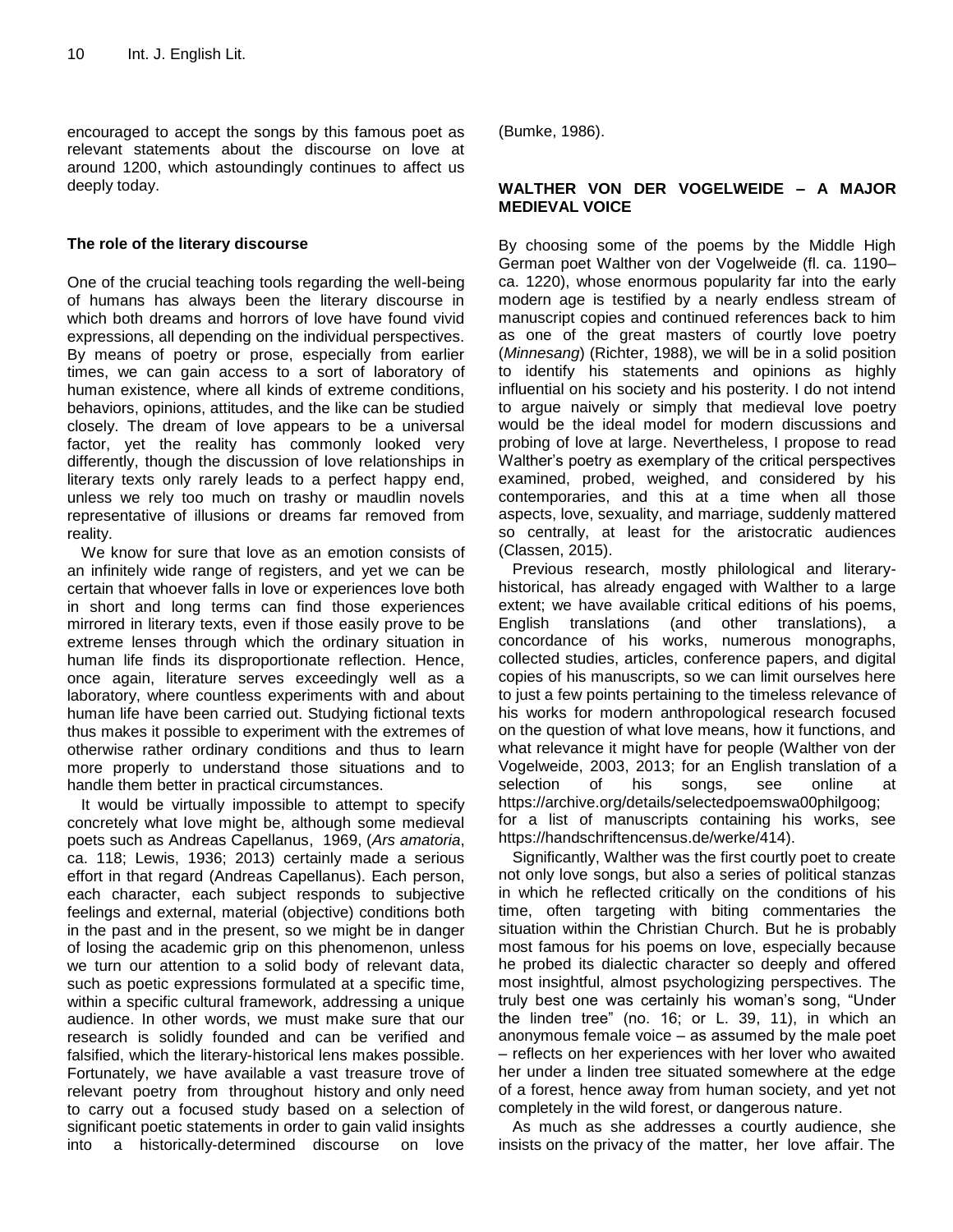encouraged to accept the songs by this famous poet as relevant statements about the discourse on love at around 1200, which astoundingly continues to affect us deeply today.

#### **The role of the literary discourse**

One of the crucial teaching tools regarding the well-being of humans has always been the literary discourse in which both dreams and horrors of love have found vivid expressions, all depending on the individual perspectives. By means of poetry or prose, especially from earlier times, we can gain access to a sort of laboratory of human existence, where all kinds of extreme conditions, behaviors, opinions, attitudes, and the like can be studied closely. The dream of love appears to be a universal factor, yet the reality has commonly looked very differently, though the discussion of love relationships in literary texts only rarely leads to a perfect happy end, unless we rely too much on trashy or maudlin novels representative of illusions or dreams far removed from reality.

We know for sure that love as an emotion consists of an infinitely wide range of registers, and yet we can be certain that whoever falls in love or experiences love both in short and long terms can find those experiences mirrored in literary texts, even if those easily prove to be extreme lenses through which the ordinary situation in human life finds its disproportionate reflection. Hence, once again, literature serves exceedingly well as a laboratory, where countless experiments with and about human life have been carried out. Studying fictional texts thus makes it possible to experiment with the extremes of otherwise rather ordinary conditions and thus to learn more properly to understand those situations and to handle them better in practical circumstances.

It would be virtually impossible to attempt to specify concretely what love might be, although some medieval poets such as Andreas Capellanus, 1969, (*Ars amatoria*, ca. 118; Lewis, 1936; 2013) certainly made a serious effort in that regard (Andreas Capellanus). Each person, each character, each subject responds to subjective feelings and external, material (objective) conditions both in the past and in the present, so we might be in danger of losing the academic grip on this phenomenon, unless we turn our attention to a solid body of relevant data, such as poetic expressions formulated at a specific time, within a specific cultural framework, addressing a unique audience. In other words, we must make sure that our research is solidly founded and can be verified and falsified, which the literary-historical lens makes possible. Fortunately, we have available a vast treasure trove of relevant poetry from throughout history and only need to carry out a focused study based on a selection of significant poetic statements in order to gain valid insights into a historically-determined discourse on love (Bumke, 1986).

### **WALTHER VON DER VOGELWEIDE – A MAJOR MEDIEVAL VOICE**

By choosing some of the poems by the Middle High German poet Walther von der Vogelweide (fl. ca. 1190ca. 1220), whose enormous popularity far into the early modern age is testified by a nearly endless stream of manuscript copies and continued references back to him as one of the great masters of courtly love poetry (*Minnesang*) (Richter, 1988), we will be in a solid position to identify his statements and opinions as highly influential on his society and his posterity. I do not intend to argue naively or simply that medieval love poetry would be the ideal model for modern discussions and probing of love at large. Nevertheless, I propose to read Walther"s poetry as exemplary of the critical perspectives examined, probed, weighed, and considered by his contemporaries, and this at a time when all those aspects, love, sexuality, and marriage, suddenly mattered so centrally, at least for the aristocratic audiences (Classen, 2015).

Previous research, mostly philological and literaryhistorical, has already engaged with Walther to a large extent; we have available critical editions of his poems, English translations (and other translations), a concordance of his works, numerous monographs, collected studies, articles, conference papers, and digital copies of his manuscripts, so we can limit ourselves here to just a few points pertaining to the timeless relevance of his works for modern anthropological research focused on the question of what love means, how it functions, and what relevance it might have for people (Walther von der Vogelweide, 2003, 2013; for an English translation of a selection of his songs, see online at https://archive.org/details/selectedpoemswa00philgoog; for a list of manuscripts containing his works, see https://handschriftencensus.de/werke/414).

Significantly, Walther was the first courtly poet to create not only love songs, but also a series of political stanzas in which he reflected critically on the conditions of his time, often targeting with biting commentaries the situation within the Christian Church. But he is probably most famous for his poems on love, especially because he probed its dialectic character so deeply and offered most insightful, almost psychologizing perspectives. The truly best one was certainly his woman's song, "Under the linden tree" (no. 16; or L. 39, 11), in which an anonymous female voice  $-$  as assumed by the male poet ‒ reflects on her experiences with her lover who awaited her under a linden tree situated somewhere at the edge of a forest, hence away from human society, and yet not completely in the wild forest, or dangerous nature.

As much as she addresses a courtly audience, she insists on the privacy of the matter, her love affair. The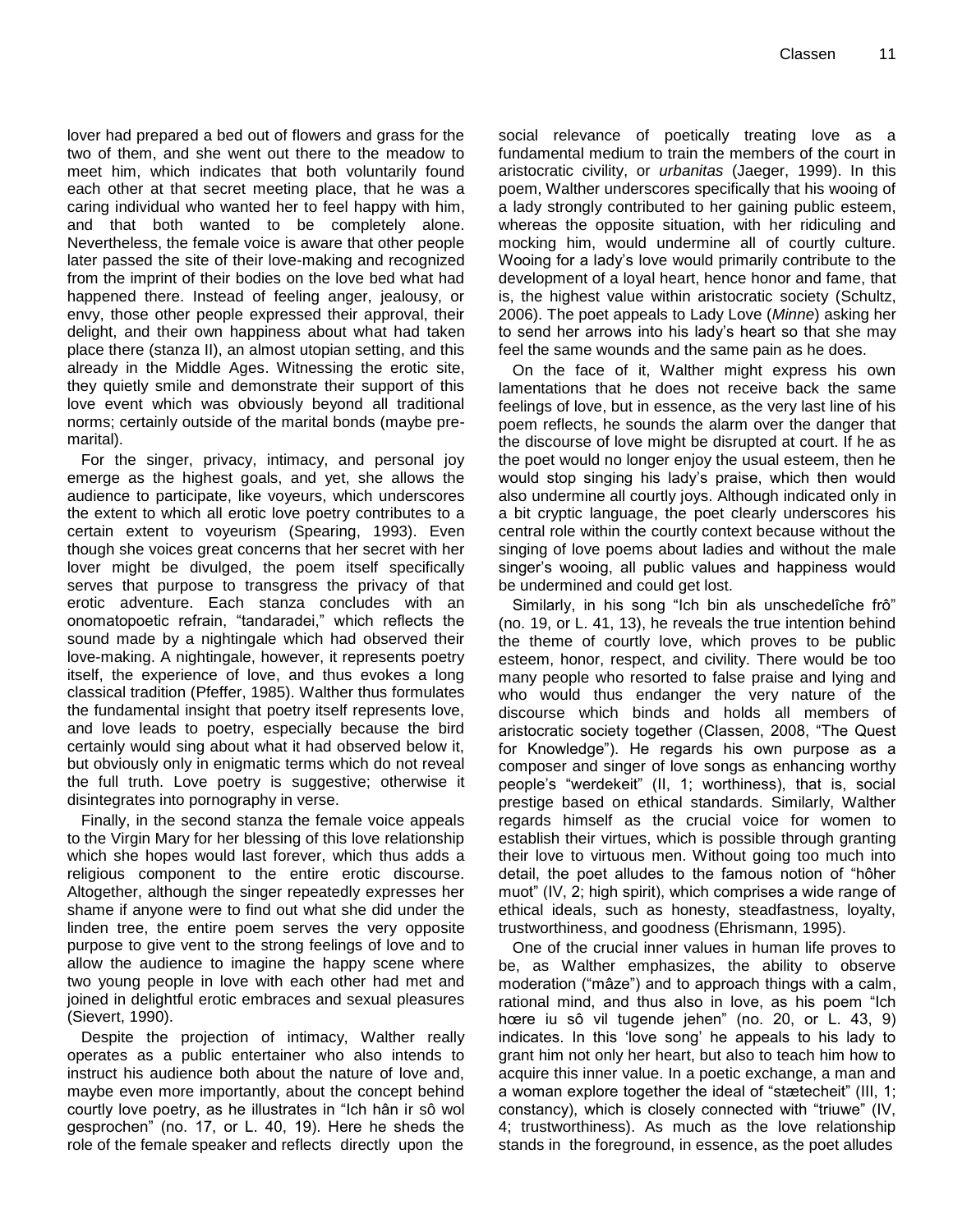lover had prepared a bed out of flowers and grass for the two of them, and she went out there to the meadow to meet him, which indicates that both voluntarily found each other at that secret meeting place, that he was a caring individual who wanted her to feel happy with him, and that both wanted to be completely alone. Nevertheless, the female voice is aware that other people later passed the site of their love-making and recognized from the imprint of their bodies on the love bed what had happened there. Instead of feeling anger, jealousy, or envy, those other people expressed their approval, their delight, and their own happiness about what had taken place there (stanza II), an almost utopian setting, and this already in the Middle Ages. Witnessing the erotic site, they quietly smile and demonstrate their support of this love event which was obviously beyond all traditional norms; certainly outside of the marital bonds (maybe premarital).

For the singer, privacy, intimacy, and personal joy emerge as the highest goals, and yet, she allows the audience to participate, like voyeurs, which underscores the extent to which all erotic love poetry contributes to a certain extent to voyeurism (Spearing, 1993). Even though she voices great concerns that her secret with her lover might be divulged, the poem itself specifically serves that purpose to transgress the privacy of that erotic adventure. Each stanza concludes with an onomatopoetic refrain, "tandaradei," which reflects the sound made by a nightingale which had observed their love-making. A nightingale, however, it represents poetry itself, the experience of love, and thus evokes a long classical tradition (Pfeffer, 1985). Walther thus formulates the fundamental insight that poetry itself represents love, and love leads to poetry, especially because the bird certainly would sing about what it had observed below it, but obviously only in enigmatic terms which do not reveal the full truth. Love poetry is suggestive; otherwise it disintegrates into pornography in verse.

Finally, in the second stanza the female voice appeals to the Virgin Mary for her blessing of this love relationship which she hopes would last forever, which thus adds a religious component to the entire erotic discourse. Altogether, although the singer repeatedly expresses her shame if anyone were to find out what she did under the linden tree, the entire poem serves the very opposite purpose to give vent to the strong feelings of love and to allow the audience to imagine the happy scene where two young people in love with each other had met and joined in delightful erotic embraces and sexual pleasures (Sievert, 1990).

Despite the projection of intimacy, Walther really operates as a public entertainer who also intends to instruct his audience both about the nature of love and, maybe even more importantly, about the concept behind courtly love poetry, as he illustrates in "Ich hân ir sô wol gesprochen" (no. 17, or L. 40, 19). Here he sheds the role of the female speaker and reflects directly upon the social relevance of poetically treating love as a fundamental medium to train the members of the court in aristocratic civility, or *urbanitas* (Jaeger, 1999). In this poem, Walther underscores specifically that his wooing of a lady strongly contributed to her gaining public esteem, whereas the opposite situation, with her ridiculing and mocking him, would undermine all of courtly culture. Wooing for a lady"s love would primarily contribute to the development of a loyal heart, hence honor and fame, that is, the highest value within aristocratic society (Schultz, 2006). The poet appeals to Lady Love (*Minne*) asking her to send her arrows into his lady"s heart so that she may feel the same wounds and the same pain as he does.

On the face of it, Walther might express his own lamentations that he does not receive back the same feelings of love, but in essence, as the very last line of his poem reflects, he sounds the alarm over the danger that the discourse of love might be disrupted at court. If he as the poet would no longer enjoy the usual esteem, then he would stop singing his lady"s praise, which then would also undermine all courtly joys. Although indicated only in a bit cryptic language, the poet clearly underscores his central role within the courtly context because without the singing of love poems about ladies and without the male singer"s wooing, all public values and happiness would be undermined and could get lost.

Similarly, in his song "Ich bin als unschedelîche frô" (no. 19, or L. 41, 13), he reveals the true intention behind the theme of courtly love, which proves to be public esteem, honor, respect, and civility. There would be too many people who resorted to false praise and lying and who would thus endanger the very nature of the discourse which binds and holds all members of aristocratic society together (Classen, 2008, "The Quest for Knowledge"). He regards his own purpose as a composer and singer of love songs as enhancing worthy people"s "werdekeit" (II, 1; worthiness), that is, social prestige based on ethical standards. Similarly, Walther regards himself as the crucial voice for women to establish their virtues, which is possible through granting their love to virtuous men. Without going too much into detail, the poet alludes to the famous notion of "hôher muot" (IV, 2; high spirit), which comprises a wide range of ethical ideals, such as honesty, steadfastness, loyalty, trustworthiness, and goodness (Ehrismann, 1995).

One of the crucial inner values in human life proves to be, as Walther emphasizes, the ability to observe moderation ("mâze") and to approach things with a calm, rational mind, and thus also in love, as his poem "Ich hœre iu sô vil tugende jehen" (no. 20, or L. 43, 9) indicates. In this "love song" he appeals to his lady to grant him not only her heart, but also to teach him how to acquire this inner value. In a poetic exchange, a man and a woman explore together the ideal of "stætecheit" (III, 1; constancy), which is closely connected with "triuwe" (IV, 4; trustworthiness). As much as the love relationship stands in the foreground, in essence, as the poet alludes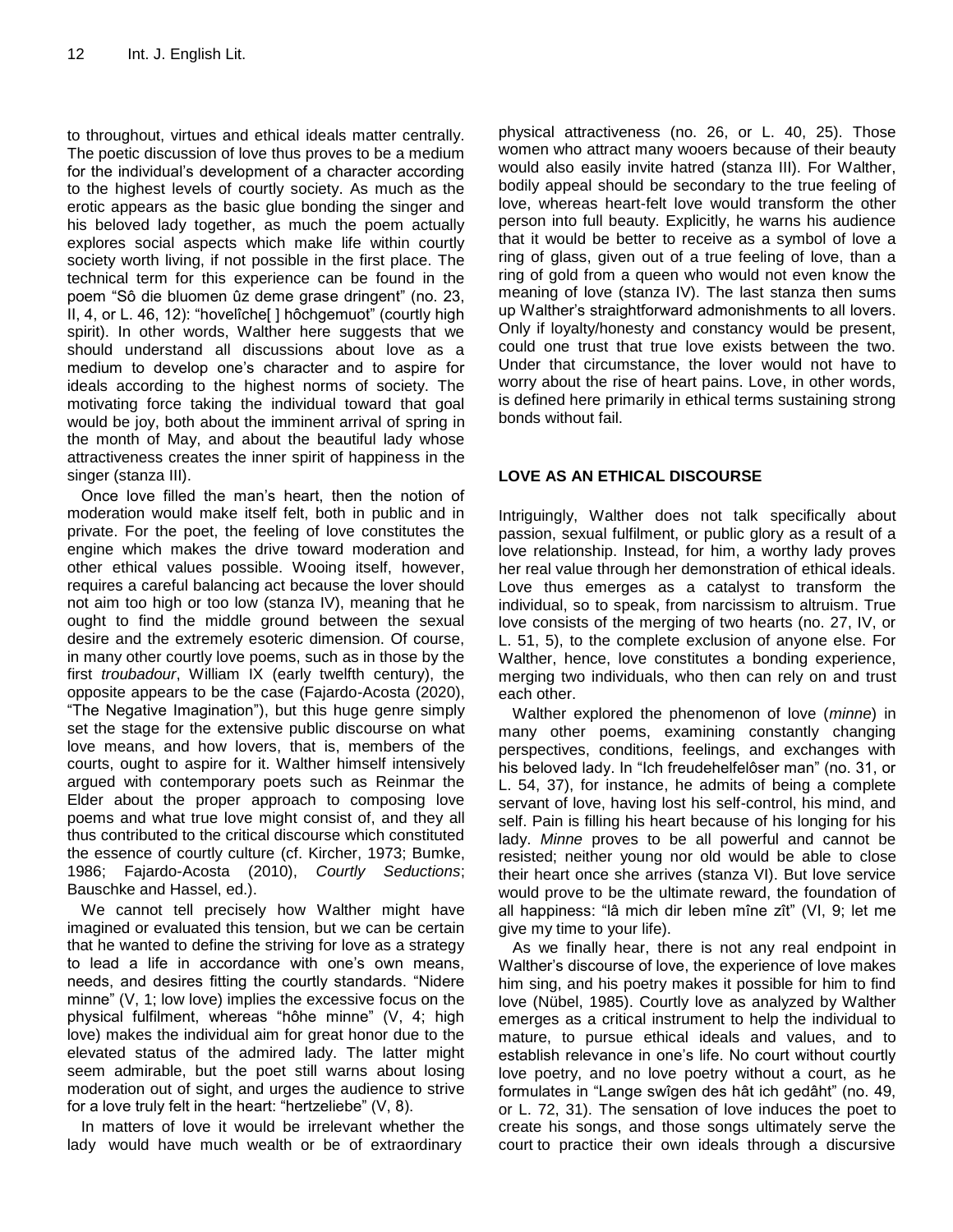to throughout, virtues and ethical ideals matter centrally. The poetic discussion of love thus proves to be a medium for the individual"s development of a character according to the highest levels of courtly society. As much as the erotic appears as the basic glue bonding the singer and his beloved lady together, as much the poem actually explores social aspects which make life within courtly society worth living, if not possible in the first place. The technical term for this experience can be found in the poem "Sô die bluomen ûz deme grase dringent" (no. 23, II, 4, or L. 46, 12): "hovelîche[ ] hôchgemuot" (courtly high spirit). In other words, Walther here suggests that we should understand all discussions about love as a medium to develop one"s character and to aspire for ideals according to the highest norms of society. The motivating force taking the individual toward that goal would be joy, both about the imminent arrival of spring in the month of May, and about the beautiful lady whose attractiveness creates the inner spirit of happiness in the singer (stanza III).

Once love filled the man"s heart, then the notion of moderation would make itself felt, both in public and in private. For the poet, the feeling of love constitutes the engine which makes the drive toward moderation and other ethical values possible. Wooing itself, however, requires a careful balancing act because the lover should not aim too high or too low (stanza IV), meaning that he ought to find the middle ground between the sexual desire and the extremely esoteric dimension. Of course, in many other courtly love poems, such as in those by the first *troubadour*, William IX (early twelfth century), the opposite appears to be the case (Fajardo-Acosta (2020), "The Negative Imagination"), but this huge genre simply set the stage for the extensive public discourse on what love means, and how lovers, that is, members of the courts, ought to aspire for it. Walther himself intensively argued with contemporary poets such as Reinmar the Elder about the proper approach to composing love poems and what true love might consist of, and they all thus contributed to the critical discourse which constituted the essence of courtly culture (cf. Kircher, 1973; Bumke, 1986; Fajardo-Acosta (2010), *Courtly Seductions*; Bauschke and Hassel, ed.).

We cannot tell precisely how Walther might have imagined or evaluated this tension, but we can be certain that he wanted to define the striving for love as a strategy to lead a life in accordance with one"s own means, needs, and desires fitting the courtly standards. "Nidere minne" (V, 1; low love) implies the excessive focus on the physical fulfilment, whereas "hôhe minne" (V, 4; high love) makes the individual aim for great honor due to the elevated status of the admired lady. The latter might seem admirable, but the poet still warns about losing moderation out of sight, and urges the audience to strive for a love truly felt in the heart: "hertzeliebe" (V, 8).

In matters of love it would be irrelevant whether the lady would have much wealth or be of extraordinary physical attractiveness (no. 26, or L. 40, 25). Those women who attract many wooers because of their beauty would also easily invite hatred (stanza III). For Walther, bodily appeal should be secondary to the true feeling of love, whereas heart-felt love would transform the other person into full beauty. Explicitly, he warns his audience that it would be better to receive as a symbol of love a ring of glass, given out of a true feeling of love, than a ring of gold from a queen who would not even know the meaning of love (stanza IV). The last stanza then sums up Walther"s straightforward admonishments to all lovers. Only if loyalty/honesty and constancy would be present, could one trust that true love exists between the two. Under that circumstance, the lover would not have to worry about the rise of heart pains. Love, in other words, is defined here primarily in ethical terms sustaining strong bonds without fail.

#### **LOVE AS AN ETHICAL DISCOURSE**

Intriguingly, Walther does not talk specifically about passion, sexual fulfilment, or public glory as a result of a love relationship. Instead, for him, a worthy lady proves her real value through her demonstration of ethical ideals. Love thus emerges as a catalyst to transform the individual, so to speak, from narcissism to altruism. True love consists of the merging of two hearts (no. 27, IV, or L. 51, 5), to the complete exclusion of anyone else. For Walther, hence, love constitutes a bonding experience, merging two individuals, who then can rely on and trust each other.

Walther explored the phenomenon of love (*minne*) in many other poems, examining constantly changing perspectives, conditions, feelings, and exchanges with his beloved lady. In "Ich freudehelfelôser man" (no. 31, or L. 54, 37), for instance, he admits of being a complete servant of love, having lost his self-control, his mind, and self. Pain is filling his heart because of his longing for his lady. *Minne* proves to be all powerful and cannot be resisted; neither young nor old would be able to close their heart once she arrives (stanza VI). But love service would prove to be the ultimate reward, the foundation of all happiness: "lâ mich dir leben mîne zît" (VI, 9; let me give my time to your life).

As we finally hear, there is not any real endpoint in Walther"s discourse of love, the experience of love makes him sing, and his poetry makes it possible for him to find love (Nübel, 1985). Courtly love as analyzed by Walther emerges as a critical instrument to help the individual to mature, to pursue ethical ideals and values, and to establish relevance in one's life. No court without courtly love poetry, and no love poetry without a court, as he formulates in "Lange swîgen des hât ich gedâht" (no. 49, or L. 72, 31). The sensation of love induces the poet to create his songs, and those songs ultimately serve the court to practice their own ideals through a discursive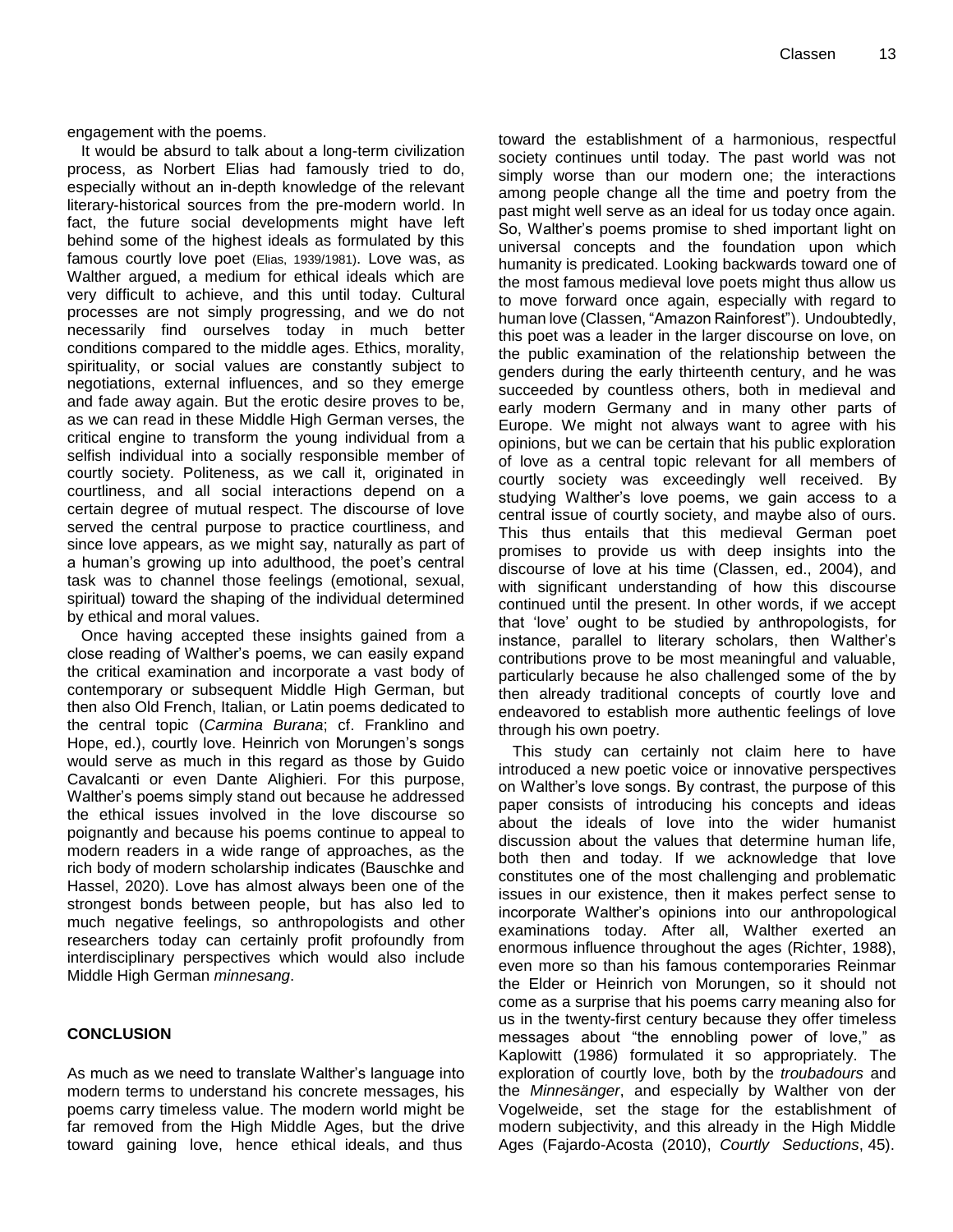engagement with the poems.

It would be absurd to talk about a long-term civilization process, as Norbert Elias had famously tried to do, especially without an in-depth knowledge of the relevant literary-historical sources from the pre-modern world. In fact, the future social developments might have left behind some of the highest ideals as formulated by this famous courtly love poet (Elias, 1939/1981). Love was, as Walther argued, a medium for ethical ideals which are very difficult to achieve, and this until today. Cultural processes are not simply progressing, and we do not necessarily find ourselves today in much better conditions compared to the middle ages. Ethics, morality, spirituality, or social values are constantly subject to negotiations, external influences, and so they emerge and fade away again. But the erotic desire proves to be, as we can read in these Middle High German verses, the critical engine to transform the young individual from a selfish individual into a socially responsible member of courtly society. Politeness, as we call it, originated in courtliness, and all social interactions depend on a certain degree of mutual respect. The discourse of love served the central purpose to practice courtliness, and since love appears, as we might say, naturally as part of a human's growing up into adulthood, the poet's central task was to channel those feelings (emotional, sexual, spiritual) toward the shaping of the individual determined by ethical and moral values.

Once having accepted these insights gained from a close reading of Walther"s poems, we can easily expand the critical examination and incorporate a vast body of contemporary or subsequent Middle High German, but then also Old French, Italian, or Latin poems dedicated to the central topic (*Carmina Burana*; cf. Franklino and Hope, ed.), courtly love. Heinrich von Morungen's songs would serve as much in this regard as those by Guido Cavalcanti or even Dante Alighieri. For this purpose, Walther"s poems simply stand out because he addressed the ethical issues involved in the love discourse so poignantly and because his poems continue to appeal to modern readers in a wide range of approaches, as the rich body of modern scholarship indicates (Bauschke and Hassel, 2020). Love has almost always been one of the strongest bonds between people, but has also led to much negative feelings, so anthropologists and other researchers today can certainly profit profoundly from interdisciplinary perspectives which would also include Middle High German *minnesang*.

#### **CONCLUSION**

As much as we need to translate Walther"s language into modern terms to understand his concrete messages, his poems carry timeless value. The modern world might be far removed from the High Middle Ages, but the drive toward gaining love, hence ethical ideals, and thus

toward the establishment of a harmonious, respectful society continues until today. The past world was not simply worse than our modern one; the interactions among people change all the time and poetry from the past might well serve as an ideal for us today once again. So, Walther"s poems promise to shed important light on universal concepts and the foundation upon which humanity is predicated. Looking backwards toward one of the most famous medieval love poets might thus allow us to move forward once again, especially with regard to human love (Classen, "Amazon Rainforest"). Undoubtedly, this poet was a leader in the larger discourse on love, on the public examination of the relationship between the genders during the early thirteenth century, and he was succeeded by countless others, both in medieval and early modern Germany and in many other parts of Europe. We might not always want to agree with his opinions, but we can be certain that his public exploration of love as a central topic relevant for all members of courtly society was exceedingly well received. By studying Walther"s love poems, we gain access to a central issue of courtly society, and maybe also of ours. This thus entails that this medieval German poet promises to provide us with deep insights into the discourse of love at his time (Classen, ed., 2004), and with significant understanding of how this discourse continued until the present. In other words, if we accept that "love" ought to be studied by anthropologists, for instance, parallel to literary scholars, then Walther's contributions prove to be most meaningful and valuable, particularly because he also challenged some of the by then already traditional concepts of courtly love and endeavored to establish more authentic feelings of love through his own poetry.

This study can certainly not claim here to have introduced a new poetic voice or innovative perspectives on Walther"s love songs. By contrast, the purpose of this paper consists of introducing his concepts and ideas about the ideals of love into the wider humanist discussion about the values that determine human life, both then and today. If we acknowledge that love constitutes one of the most challenging and problematic issues in our existence, then it makes perfect sense to incorporate Walther"s opinions into our anthropological examinations today. After all, Walther exerted an enormous influence throughout the ages (Richter, 1988), even more so than his famous contemporaries Reinmar the Elder or Heinrich von Morungen, so it should not come as a surprise that his poems carry meaning also for us in the twenty-first century because they offer timeless messages about "the ennobling power of love," as Kaplowitt (1986) formulated it so appropriately. The exploration of courtly love, both by the *troubadours* and the *Minnesänger*, and especially by Walther von der Vogelweide, set the stage for the establishment of modern subjectivity, and this already in the High Middle Ages (Fajardo-Acosta (2010), *Courtly Seductions*, 45).